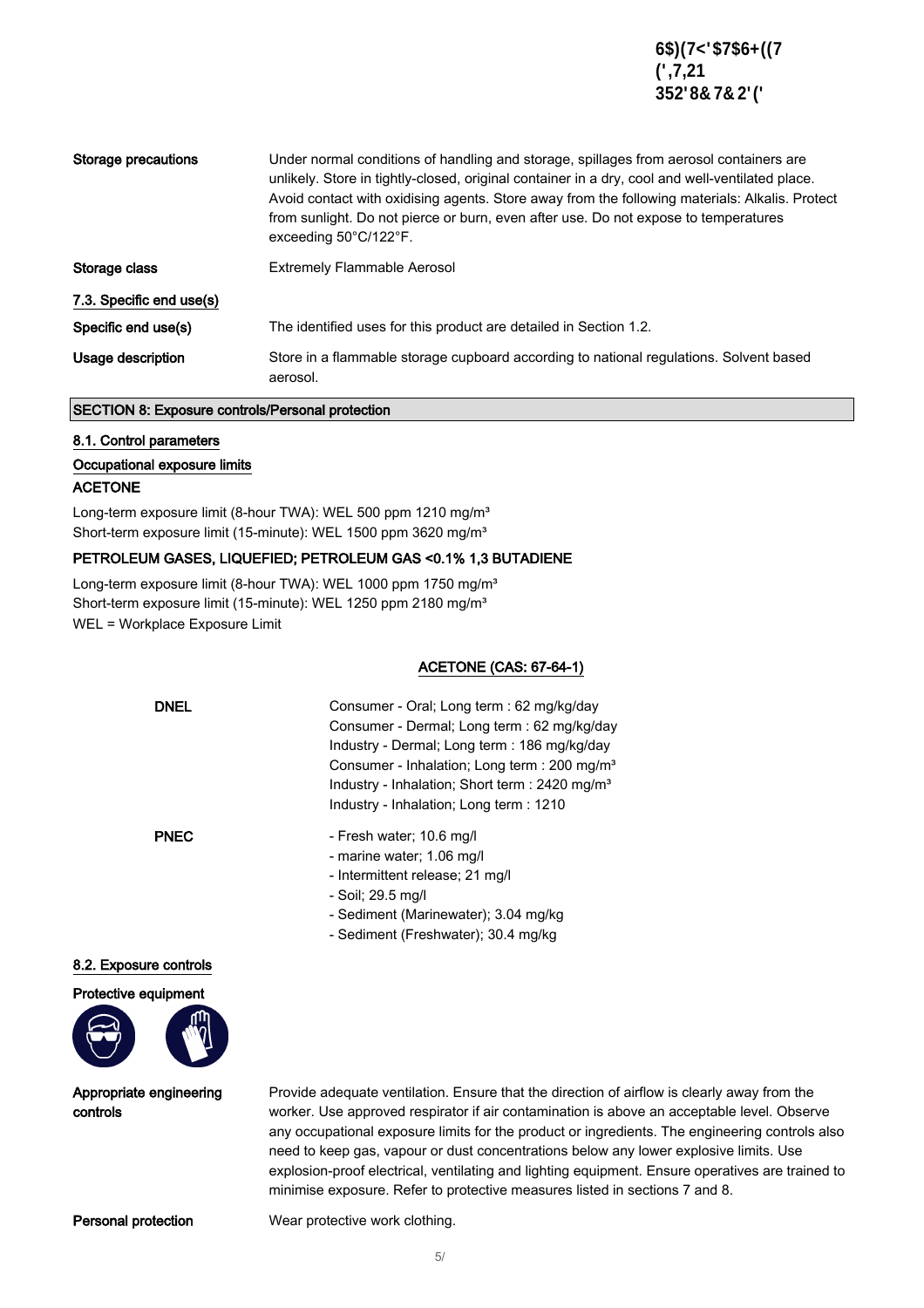| Storage precautions      | Under normal conditions of handling and storage, spillages from aerosol containers are<br>unlikely. Store in tightly-closed, original container in a dry, cool and well-ventilated place.<br>Avoid contact with oxidising agents. Store away from the following materials: Alkalis. Protect<br>from sunlight. Do not pierce or burn, even after use. Do not expose to temperatures<br>exceeding 50°C/122°F. |  |
|--------------------------|-------------------------------------------------------------------------------------------------------------------------------------------------------------------------------------------------------------------------------------------------------------------------------------------------------------------------------------------------------------------------------------------------------------|--|
| Storage class            | <b>Extremely Flammable Aerosol</b>                                                                                                                                                                                                                                                                                                                                                                          |  |
| 7.3. Specific end use(s) |                                                                                                                                                                                                                                                                                                                                                                                                             |  |
| Specific end use(s)      | The identified uses for this product are detailed in Section 1.2.                                                                                                                                                                                                                                                                                                                                           |  |
| Usage description        | Store in a flammable storage cupboard according to national regulations. Solvent based<br>aerosol.                                                                                                                                                                                                                                                                                                          |  |

### SECTION 8: Exposure controls/Personal protection

### 8.1. Control parameters

### Occupational exposure limits

### ACETONE

Long-term exposure limit (8-hour TWA): WEL 500 ppm 1210 mg/m<sup>3</sup> Short-term exposure limit (15-minute): WEL 1500 ppm 3620 mg/m<sup>3</sup>

### PETROLEUM GASES, LIQUEFIED; PETROLEUM GAS <0.1% 1,3 BUTADIENE

Long-term exposure limit (8-hour TWA): WEL 1000 ppm 1750 mg/m<sup>3</sup> Short-term exposure limit (15-minute): WEL 1250 ppm 2180 mg/m<sup>3</sup> WEL = Workplace Exposure Limit

### ACETONE (CAS: 67-64-1)

| <b>DNEL</b> | Consumer - Oral: Long term : 62 mg/kg/day                 |
|-------------|-----------------------------------------------------------|
|             | Consumer - Dermal; Long term : 62 mg/kg/day               |
|             | Industry - Dermal; Long term : 186 mg/kg/day              |
|             | Consumer - Inhalation; Long term : 200 mg/m <sup>3</sup>  |
|             | Industry - Inhalation; Short term : $2420 \text{ mg/m}^3$ |
|             | Industry - Inhalation; Long term : 1210                   |
|             |                                                           |

- PNEC Fresh water; 10.6 mg/l
	- marine water; 1.06 mg/l
	- Intermittent release; 21 mg/l
	- Soil; 29.5 mg/l
	- Sediment (Marinewater); 3.04 mg/kg
	- Sediment (Freshwater); 30.4 mg/kg

### 8.2. Exposure controls



Appropriate engineering controls

Provide adequate ventilation. Ensure that the direction of airflow is clearly away from the worker. Use approved respirator if air contamination is above an acceptable level. Observe any occupational exposure limits for the product or ingredients. The engineering controls also need to keep gas, vapour or dust concentrations below any lower explosive limits. Use explosion-proof electrical, ventilating and lighting equipment. Ensure operatives are trained to minimise exposure. Refer to protective measures listed in sections 7 and 8.

**Personal protection** Wear protective work clothing.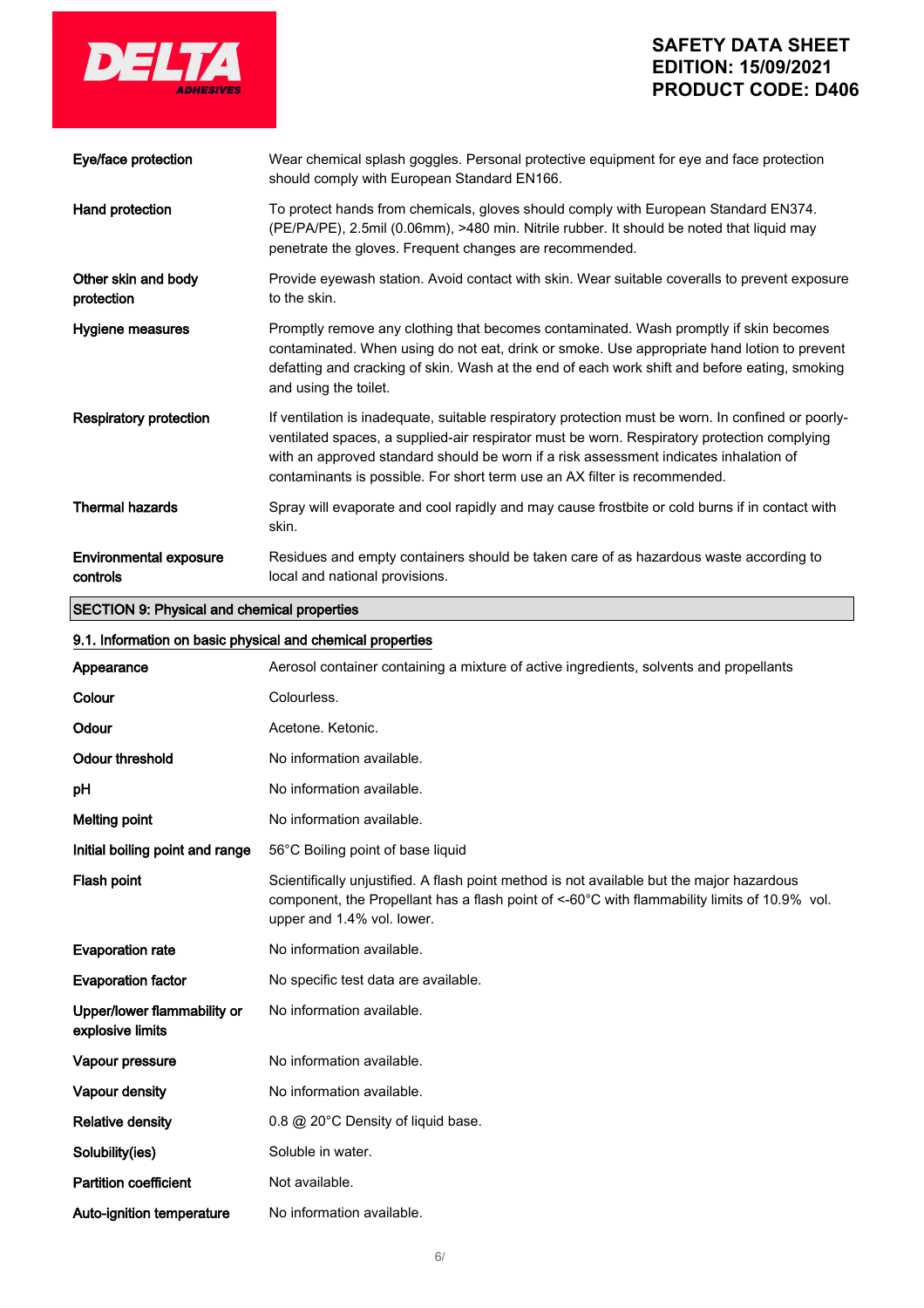

| <b>SECTION 9: Physical and chemical properties</b> |                                                                                                                                                                                                                                                                                                                                                                         |  |
|----------------------------------------------------|-------------------------------------------------------------------------------------------------------------------------------------------------------------------------------------------------------------------------------------------------------------------------------------------------------------------------------------------------------------------------|--|
| <b>Environmental exposure</b><br>controls          | Residues and empty containers should be taken care of as hazardous waste according to<br>local and national provisions.                                                                                                                                                                                                                                                 |  |
| <b>Thermal hazards</b>                             | Spray will evaporate and cool rapidly and may cause frostbite or cold burns if in contact with<br>skin.                                                                                                                                                                                                                                                                 |  |
| Respiratory protection                             | If ventilation is inadequate, suitable respiratory protection must be worn. In confined or poorly-<br>ventilated spaces, a supplied-air respirator must be worn. Respiratory protection complying<br>with an approved standard should be worn if a risk assessment indicates inhalation of<br>contaminants is possible. For short term use an AX filter is recommended. |  |
| Hygiene measures                                   | Promptly remove any clothing that becomes contaminated. Wash promptly if skin becomes<br>contaminated. When using do not eat, drink or smoke. Use appropriate hand lotion to prevent<br>defatting and cracking of skin. Wash at the end of each work shift and before eating, smoking<br>and using the toilet.                                                          |  |
| Other skin and body<br>protection                  | Provide eyewash station. Avoid contact with skin. Wear suitable coveralls to prevent exposure<br>to the skin.                                                                                                                                                                                                                                                           |  |
| Hand protection                                    | To protect hands from chemicals, gloves should comply with European Standard EN374.<br>(PE/PA/PE), 2.5mil (0.06mm), >480 min. Nitrile rubber. It should be noted that liquid may<br>penetrate the gloves. Frequent changes are recommended.                                                                                                                             |  |
| Eye/face protection                                | Wear chemical splash goggles. Personal protective equipment for eye and face protection<br>should comply with European Standard EN166.                                                                                                                                                                                                                                  |  |

### 9.1. Information on basic physical and chemical properties

| Appearance                                      | Aerosol container containing a mixture of active ingredients, solvents and propellants                                                                                                                                  |  |
|-------------------------------------------------|-------------------------------------------------------------------------------------------------------------------------------------------------------------------------------------------------------------------------|--|
| Colour                                          | Colourless.                                                                                                                                                                                                             |  |
| Odour                                           | Acetone, Ketonic.                                                                                                                                                                                                       |  |
| <b>Odour threshold</b>                          | No information available.                                                                                                                                                                                               |  |
| pH                                              | No information available.                                                                                                                                                                                               |  |
| <b>Melting point</b>                            | No information available.                                                                                                                                                                                               |  |
| Initial boiling point and range                 | 56°C Boiling point of base liquid                                                                                                                                                                                       |  |
| Flash point                                     | Scientifically unjustified. A flash point method is not available but the major hazardous<br>component, the Propellant has a flash point of <-60°C with flammability limits of 10.9% vol.<br>upper and 1.4% vol. lower. |  |
| <b>Evaporation rate</b>                         | No information available.                                                                                                                                                                                               |  |
| <b>Evaporation factor</b>                       | No specific test data are available.                                                                                                                                                                                    |  |
| Upper/lower flammability or<br>explosive limits | No information available.                                                                                                                                                                                               |  |
| Vapour pressure                                 | No information available.                                                                                                                                                                                               |  |
| Vapour density                                  | No information available.                                                                                                                                                                                               |  |
| <b>Relative density</b>                         | 0.8 @ 20°C Density of liquid base.                                                                                                                                                                                      |  |
| Solubility(ies)                                 | Soluble in water.                                                                                                                                                                                                       |  |
| <b>Partition coefficient</b>                    | Not available.                                                                                                                                                                                                          |  |
| Auto-ignition temperature                       | No information available.                                                                                                                                                                                               |  |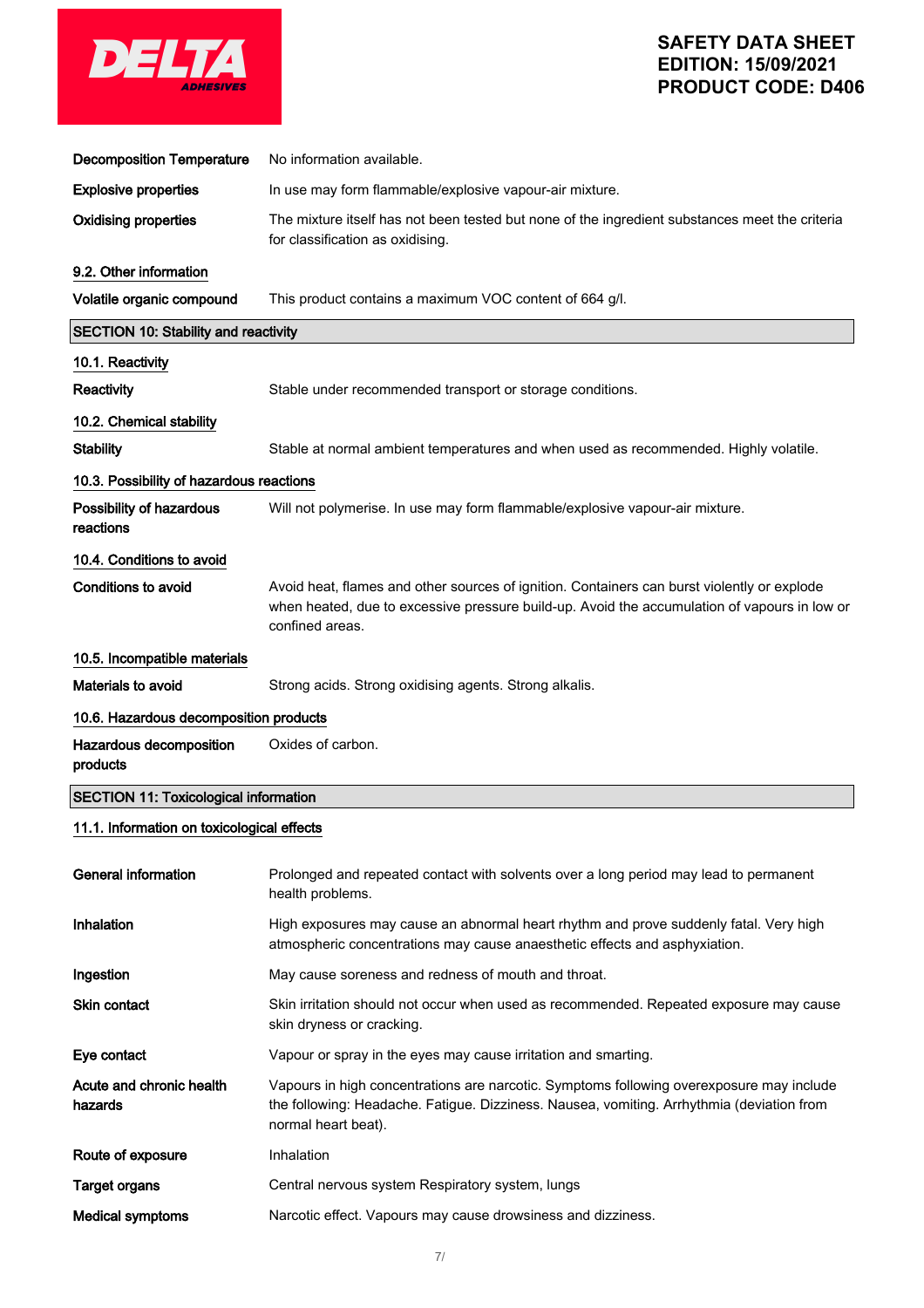

| <b>Decomposition Temperature</b>             | No information available.                                                                                                                                                                                      |  |  |
|----------------------------------------------|----------------------------------------------------------------------------------------------------------------------------------------------------------------------------------------------------------------|--|--|
| <b>Explosive properties</b>                  | In use may form flammable/explosive vapour-air mixture.                                                                                                                                                        |  |  |
| <b>Oxidising properties</b>                  | The mixture itself has not been tested but none of the ingredient substances meet the criteria<br>for classification as oxidising.                                                                             |  |  |
| 9.2. Other information                       |                                                                                                                                                                                                                |  |  |
| Volatile organic compound                    | This product contains a maximum VOC content of 664 g/l.                                                                                                                                                        |  |  |
| <b>SECTION 10: Stability and reactivity</b>  |                                                                                                                                                                                                                |  |  |
| 10.1. Reactivity                             |                                                                                                                                                                                                                |  |  |
| Reactivity                                   | Stable under recommended transport or storage conditions.                                                                                                                                                      |  |  |
| 10.2. Chemical stability                     |                                                                                                                                                                                                                |  |  |
| <b>Stability</b>                             | Stable at normal ambient temperatures and when used as recommended. Highly volatile.                                                                                                                           |  |  |
| 10.3. Possibility of hazardous reactions     |                                                                                                                                                                                                                |  |  |
| Possibility of hazardous<br>reactions        | Will not polymerise. In use may form flammable/explosive vapour-air mixture.                                                                                                                                   |  |  |
| 10.4. Conditions to avoid                    |                                                                                                                                                                                                                |  |  |
| <b>Conditions to avoid</b>                   | Avoid heat, flames and other sources of ignition. Containers can burst violently or explode<br>when heated, due to excessive pressure build-up. Avoid the accumulation of vapours in low or<br>confined areas. |  |  |
| 10.5. Incompatible materials                 |                                                                                                                                                                                                                |  |  |
| Materials to avoid                           | Strong acids. Strong oxidising agents. Strong alkalis.                                                                                                                                                         |  |  |
| 10.6. Hazardous decomposition products       |                                                                                                                                                                                                                |  |  |
| Hazardous decomposition<br>products          | Oxides of carbon.                                                                                                                                                                                              |  |  |
| <b>SECTION 11: Toxicological information</b> |                                                                                                                                                                                                                |  |  |
| 11.1. Information on toxicological effects   |                                                                                                                                                                                                                |  |  |
| <b>General information</b>                   | Prolonged and repeated contact with solvents over a long period may lead to permanent<br>health problems.                                                                                                      |  |  |
| Inhalation                                   | High exposures may cause an abnormal heart rhythm and prove suddenly fatal. Very high<br>atmospheric concentrations may cause anaesthetic effects and asphyxiation.                                            |  |  |
| Ingestion                                    | May cause soreness and redness of mouth and throat.                                                                                                                                                            |  |  |
| Skin contact                                 | Skin irritation should not occur when used as recommended. Repeated exposure may cause<br>skin dryness or cracking.                                                                                            |  |  |
| Eye contact                                  | Vapour or spray in the eyes may cause irritation and smarting.                                                                                                                                                 |  |  |
| Acute and chronic health<br>hazards          | Vapours in high concentrations are narcotic. Symptoms following overexposure may include<br>the following: Headache. Fatigue. Dizziness. Nausea, vomiting. Arrhythmia (deviation from<br>normal heart beat).   |  |  |
| Route of exposure                            | Inhalation                                                                                                                                                                                                     |  |  |
| <b>Target organs</b>                         | Central nervous system Respiratory system, lungs                                                                                                                                                               |  |  |
| <b>Medical symptoms</b>                      | Narcotic effect. Vapours may cause drowsiness and dizziness.                                                                                                                                                   |  |  |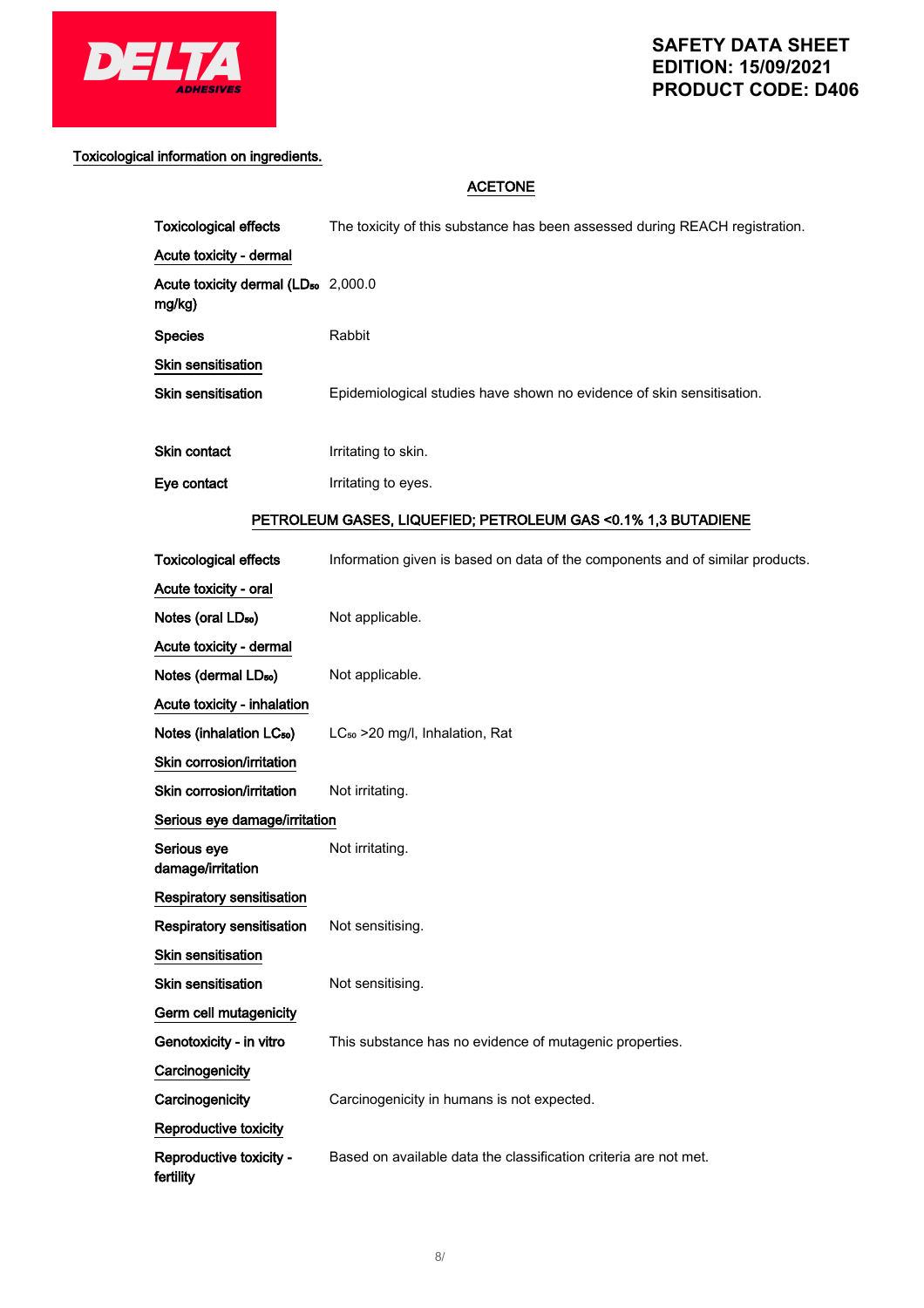

## Toxicological information on ingredients.

## ACETONE

| <b>Toxicological effects</b>                              | The toxicity of this substance has been assessed during REACH registration. |  |  |
|-----------------------------------------------------------|-----------------------------------------------------------------------------|--|--|
| Acute toxicity - dermal                                   |                                                                             |  |  |
| Acute toxicity dermal (LD <sub>50</sub> 2,000.0<br>mg/kg) |                                                                             |  |  |
| <b>Species</b>                                            | Rabbit                                                                      |  |  |
| Skin sensitisation                                        |                                                                             |  |  |
| <b>Skin sensitisation</b>                                 | Epidemiological studies have shown no evidence of skin sensitisation.       |  |  |
| <b>Skin contact</b>                                       | Irritating to skin.                                                         |  |  |
| Eye contact                                               | Irritating to eyes.                                                         |  |  |

## PETROLEUM GASES, LIQUEFIED; PETROLEUM GAS <0.1% 1,3 BUTADIENE

| <b>Toxicological effects</b>         | Information given is based on data of the components and of similar products. |  |  |
|--------------------------------------|-------------------------------------------------------------------------------|--|--|
| Acute toxicity - oral                |                                                                               |  |  |
| Notes (oral LD <sub>50</sub> )       | Not applicable.                                                               |  |  |
| Acute toxicity - dermal              |                                                                               |  |  |
| Notes (dermal LD <sub>50</sub> )     | Not applicable.                                                               |  |  |
| Acute toxicity - inhalation          |                                                                               |  |  |
| Notes (inhalation LC <sub>50</sub> ) | LC <sub>50</sub> > 20 mg/l, Inhalation, Rat                                   |  |  |
| Skin corrosion/irritation            |                                                                               |  |  |
| Skin corrosion/irritation            | Not irritating.                                                               |  |  |
| Serious eye damage/irritation        |                                                                               |  |  |
| Serious eye<br>damage/irritation     | Not irritating.                                                               |  |  |
| Respiratory sensitisation            |                                                                               |  |  |
| <b>Respiratory sensitisation</b>     | Not sensitising.                                                              |  |  |
| <b>Skin sensitisation</b>            |                                                                               |  |  |
| <b>Skin sensitisation</b>            | Not sensitising.                                                              |  |  |
| Germ cell mutagenicity               |                                                                               |  |  |
| Genotoxicity - in vitro              | This substance has no evidence of mutagenic properties.                       |  |  |
| Carcinogenicity                      |                                                                               |  |  |
| Carcinogenicity                      | Carcinogenicity in humans is not expected.                                    |  |  |
| Reproductive toxicity                |                                                                               |  |  |
| Reproductive toxicity -<br>fertility | Based on available data the classification criteria are not met.              |  |  |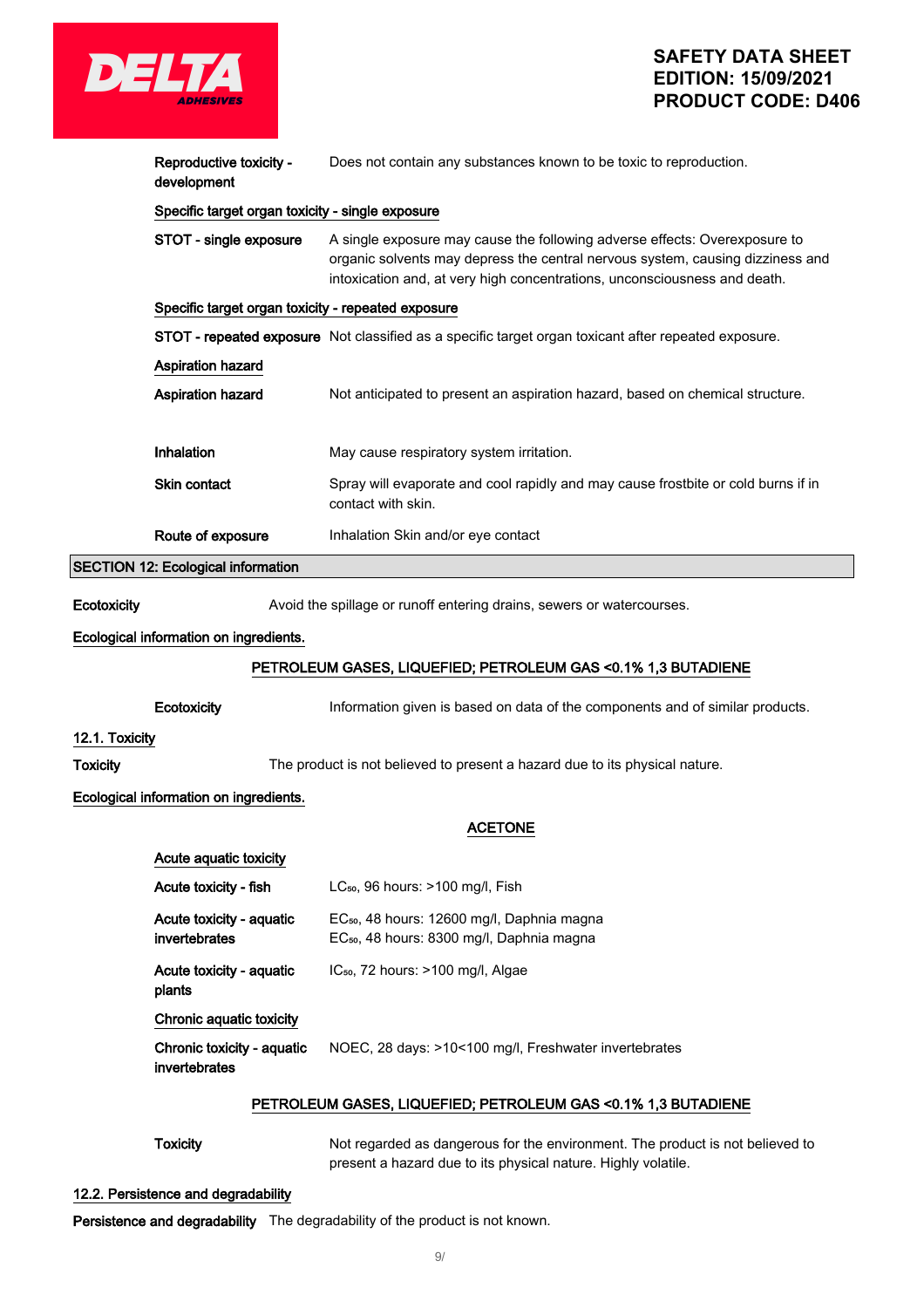

## **SAFETY DATA SHEET EDITION: 15/09/2021 PRODUCT CODE: D406**

|                                        | Reproductive toxicity -<br>development                                      | Does not contain any substances known to be toxic to reproduction.                                                                                                                                                                        |  |  |
|----------------------------------------|-----------------------------------------------------------------------------|-------------------------------------------------------------------------------------------------------------------------------------------------------------------------------------------------------------------------------------------|--|--|
|                                        | Specific target organ toxicity - single exposure                            |                                                                                                                                                                                                                                           |  |  |
|                                        | STOT - single exposure                                                      | A single exposure may cause the following adverse effects: Overexposure to<br>organic solvents may depress the central nervous system, causing dizziness and<br>intoxication and, at very high concentrations, unconsciousness and death. |  |  |
|                                        | Specific target organ toxicity - repeated exposure                          |                                                                                                                                                                                                                                           |  |  |
|                                        |                                                                             | STOT - repeated exposure Not classified as a specific target organ toxicant after repeated exposure.                                                                                                                                      |  |  |
|                                        | Aspiration hazard                                                           |                                                                                                                                                                                                                                           |  |  |
|                                        | <b>Aspiration hazard</b>                                                    | Not anticipated to present an aspiration hazard, based on chemical structure.                                                                                                                                                             |  |  |
|                                        |                                                                             |                                                                                                                                                                                                                                           |  |  |
|                                        | Inhalation                                                                  | May cause respiratory system irritation.                                                                                                                                                                                                  |  |  |
|                                        | Skin contact                                                                | Spray will evaporate and cool rapidly and may cause frostbite or cold burns if in<br>contact with skin.                                                                                                                                   |  |  |
|                                        | Route of exposure                                                           | Inhalation Skin and/or eye contact                                                                                                                                                                                                        |  |  |
|                                        | <b>SECTION 12: Ecological information</b>                                   |                                                                                                                                                                                                                                           |  |  |
| Ecotoxicity                            |                                                                             | Avoid the spillage or runoff entering drains, sewers or watercourses.                                                                                                                                                                     |  |  |
|                                        | Ecological information on ingredients.                                      |                                                                                                                                                                                                                                           |  |  |
|                                        |                                                                             |                                                                                                                                                                                                                                           |  |  |
|                                        | PETROLEUM GASES, LIQUEFIED; PETROLEUM GAS < 0.1% 1,3 BUTADIENE              |                                                                                                                                                                                                                                           |  |  |
|                                        | Ecotoxicity                                                                 | Information given is based on data of the components and of similar products.                                                                                                                                                             |  |  |
| 12.1. Toxicity                         |                                                                             |                                                                                                                                                                                                                                           |  |  |
| Toxicity                               | The product is not believed to present a hazard due to its physical nature. |                                                                                                                                                                                                                                           |  |  |
| Ecological information on ingredients. |                                                                             |                                                                                                                                                                                                                                           |  |  |
|                                        | <b>ACETONE</b>                                                              |                                                                                                                                                                                                                                           |  |  |
|                                        | Acute aquatic toxicity                                                      |                                                                                                                                                                                                                                           |  |  |
|                                        | LC <sub>50</sub> , 96 hours: >100 mg/l, Fish<br>Acute toxicity - fish       |                                                                                                                                                                                                                                           |  |  |
|                                        | Acute toxicity - aquatic                                                    | EC <sub>50</sub> , 48 hours: 12600 mg/l, Daphnia magna                                                                                                                                                                                    |  |  |
|                                        | invertebrates                                                               | EC <sub>50</sub> , 48 hours: 8300 mg/l, Daphnia magna                                                                                                                                                                                     |  |  |
|                                        | Acute toxicity - aquatic<br>plants                                          | IC <sub>50</sub> , 72 hours: >100 mg/l, Algae                                                                                                                                                                                             |  |  |

### Chronic aquatic toxicity

### Chronic toxicity - aquatic invertebrates NOEC, 28 days: >10<100 mg/l, Freshwater invertebrates

### PETROLEUM GASES, LIQUEFIED; PETROLEUM GAS <0.1% 1,3 BUTADIENE

Toxicity Not regarded as dangerous for the environment. The product is not believed to present a hazard due to its physical nature. Highly volatile.

### 12.2. Persistence and degradability

Persistence and degradability The degradability of the product is not known.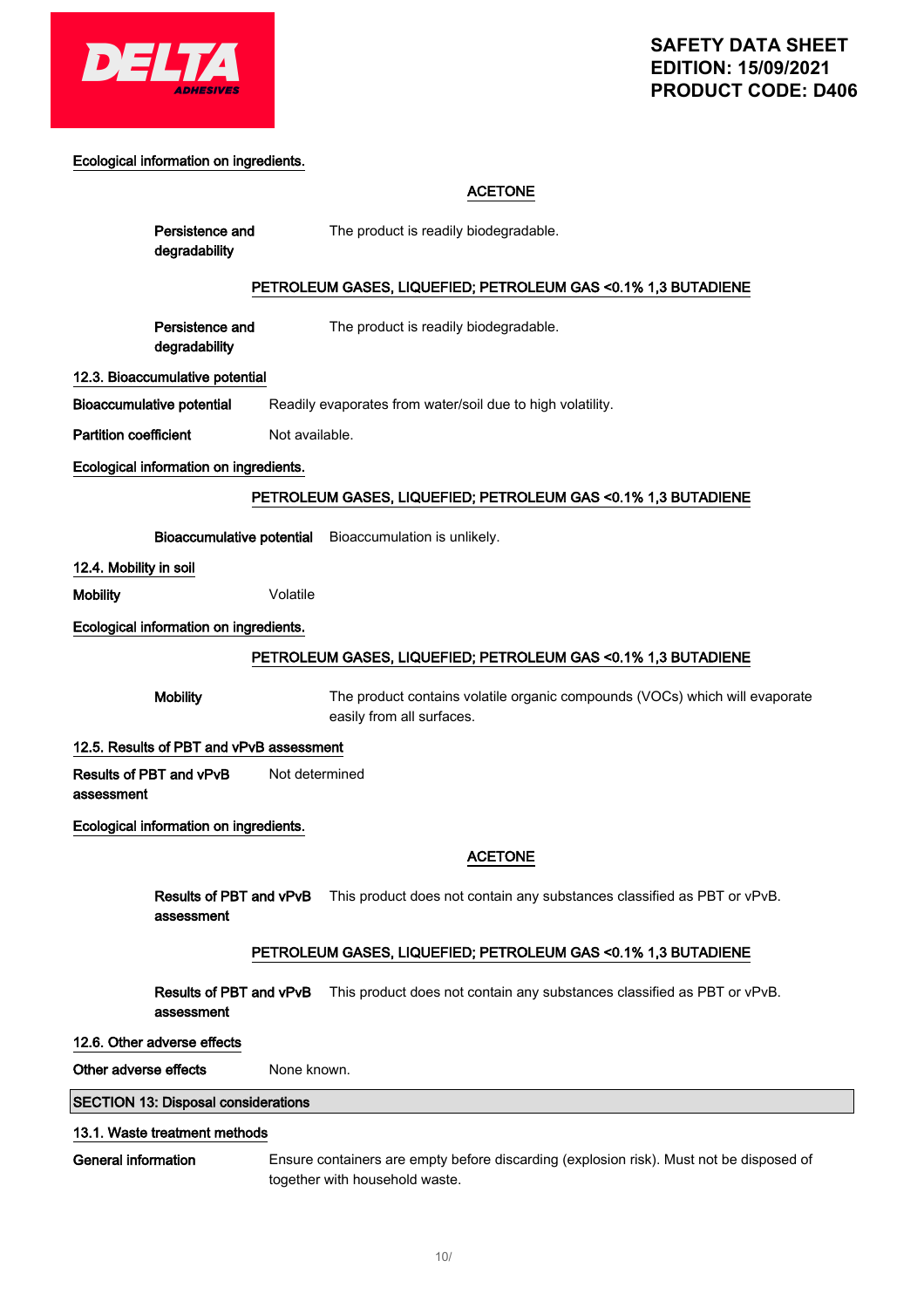

### Ecological information on ingredients.

Persistence and

### ACETONE

The product is readily biodegradable.

| degradability                                                  |                                                                                                                           |  |  |
|----------------------------------------------------------------|---------------------------------------------------------------------------------------------------------------------------|--|--|
|                                                                | PETROLEUM GASES, LIQUEFIED; PETROLEUM GAS < 0.1% 1,3 BUTADIENE                                                            |  |  |
|                                                                |                                                                                                                           |  |  |
| Persistence and<br>degradability                               | The product is readily biodegradable.                                                                                     |  |  |
| 12.3. Bioaccumulative potential                                |                                                                                                                           |  |  |
| <b>Bioaccumulative potential</b>                               | Readily evaporates from water/soil due to high volatility.                                                                |  |  |
| <b>Partition coefficient</b>                                   | Not available.                                                                                                            |  |  |
| Ecological information on ingredients.                         |                                                                                                                           |  |  |
|                                                                | PETROLEUM GASES, LIQUEFIED; PETROLEUM GAS < 0.1% 1,3 BUTADIENE                                                            |  |  |
|                                                                | Bioaccumulative potential Bioaccumulation is unlikely.                                                                    |  |  |
| 12.4. Mobility in soil                                         |                                                                                                                           |  |  |
| <b>Mobility</b>                                                | Volatile                                                                                                                  |  |  |
| Ecological information on ingredients.                         |                                                                                                                           |  |  |
| PETROLEUM GASES, LIQUEFIED; PETROLEUM GAS <0.1% 1,3 BUTADIENE  |                                                                                                                           |  |  |
| <b>Mobility</b>                                                | The product contains volatile organic compounds (VOCs) which will evaporate                                               |  |  |
|                                                                | easily from all surfaces.                                                                                                 |  |  |
| 12.5. Results of PBT and vPvB assessment                       |                                                                                                                           |  |  |
| Results of PBT and vPvB<br>assessment                          | Not determined                                                                                                            |  |  |
| Ecological information on ingredients.                         |                                                                                                                           |  |  |
|                                                                | <b>ACETONE</b>                                                                                                            |  |  |
| Results of PBT and vPvB<br>assessment                          | This product does not contain any substances classified as PBT or vPvB.                                                   |  |  |
| PETROLEUM GASES, LIQUEFIED; PETROLEUM GAS < 0.1% 1,3 BUTADIENE |                                                                                                                           |  |  |
| Results of PBT and vPvB<br>assessment                          | This product does not contain any substances classified as PBT or vPvB.                                                   |  |  |
| 12.6. Other adverse effects                                    |                                                                                                                           |  |  |
| Other adverse effects                                          | None known.                                                                                                               |  |  |
| <b>SECTION 13: Disposal considerations</b>                     |                                                                                                                           |  |  |
| 13.1. Waste treatment methods                                  |                                                                                                                           |  |  |
| <b>General information</b>                                     | Ensure containers are empty before discarding (explosion risk). Must not be disposed of<br>together with household waste. |  |  |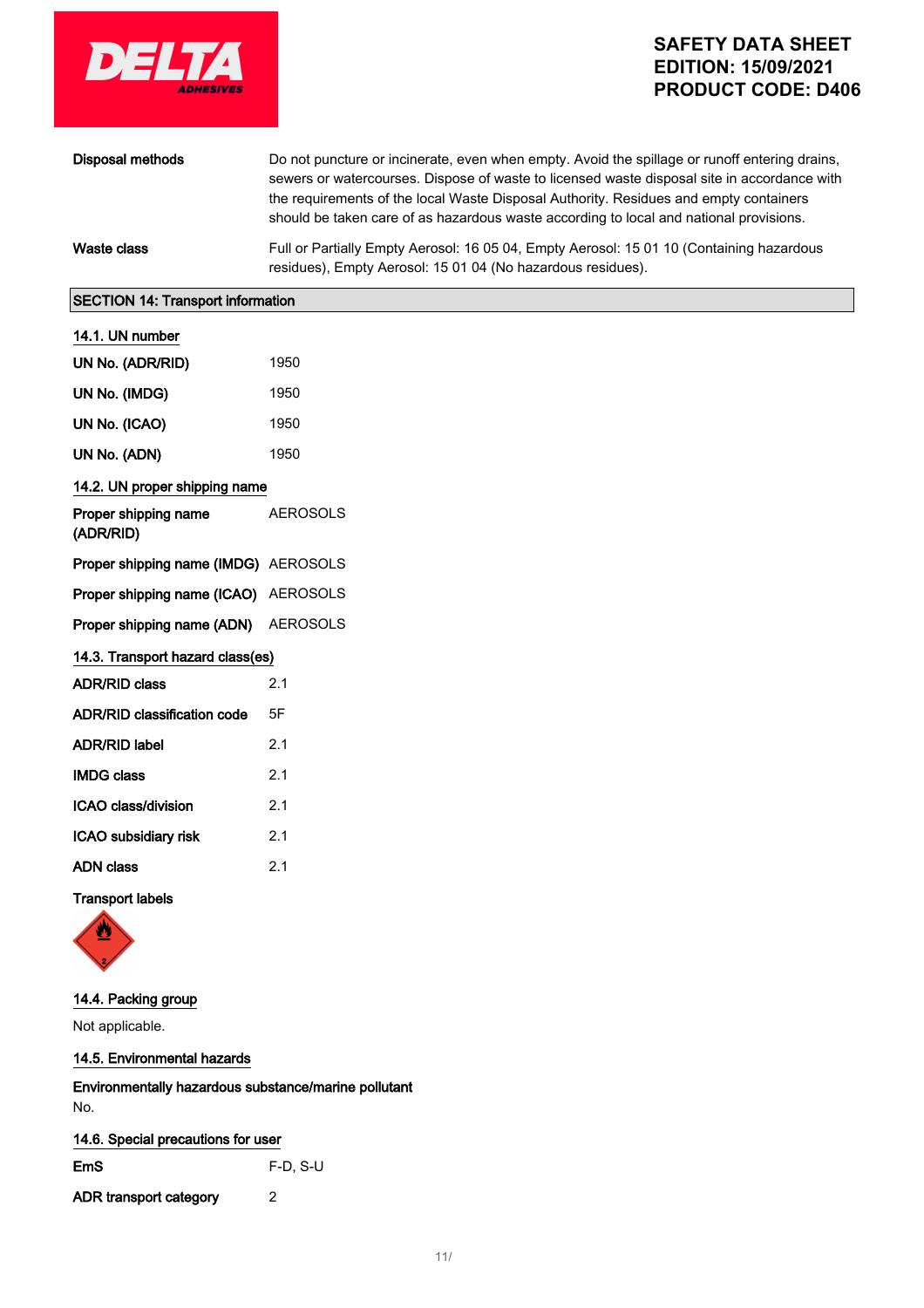

| Disposal methods | Do not puncture or incinerate, even when empty. Avoid the spillage or runoff entering drains,<br>sewers or watercourses. Dispose of waste to licensed waste disposal site in accordance with<br>the requirements of the local Waste Disposal Authority. Residues and empty containers<br>should be taken care of as hazardous waste according to local and national provisions. |
|------------------|---------------------------------------------------------------------------------------------------------------------------------------------------------------------------------------------------------------------------------------------------------------------------------------------------------------------------------------------------------------------------------|
| Waste class      | Full or Partially Empty Aerosol: 16 05 04, Empty Aerosol: 15 01 10 (Containing hazardous<br>residues), Empty Aerosol: 15 01 04 (No hazardous residues).                                                                                                                                                                                                                         |

### SECTION 14: Transport information

|  | 14.1. UN number |
|--|-----------------|
|  |                 |

| UN No. (ADR/RID)                     | 1950            |
|--------------------------------------|-----------------|
| UN No. (IMDG)                        | 1950            |
| UN No. (ICAO)                        | 1950            |
| UN No. (ADN)                         | 1950            |
| 14.2. UN proper shipping name        |                 |
| Proper shipping name<br>(ADR/RID)    | <b>AEROSOLS</b> |
| Proper shipping name (IMDG) AEROSOLS |                 |
| Proper shipping name (ICAO) AEROSOLS |                 |
| Proper shipping name (ADN) AEROSOLS  |                 |
| 14.3. Transport hazard class(es)     |                 |
| <b>ADR/RID class</b>                 | 2.1             |
| ADR/RID classification code          | 5F              |
| <b>ADR/RID label</b>                 | 2.1             |
| <b>IMDG class</b>                    | 2.1             |
| <b>ICAO class/division</b>           | 2.1             |
| ICAO subsidiary risk                 | 2.1             |
| <b>ADN</b> class                     | 2.1             |
| <b>Transport labels</b>              |                 |

## 14.4. Packing group

Not applicable.

## 14.5. Environmental hazards

Environmentally hazardous substance/marine pollutant No.

## 14.6. Special precautions for user

EmS F-D, S-U ADR transport category 2